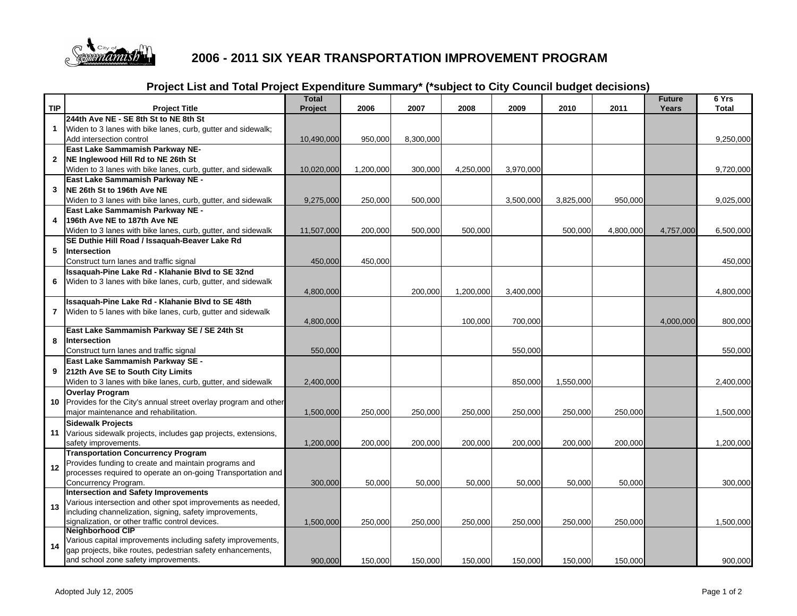

## **2006 - 2011 SIX YEAR TRANSPORTATION IMPROVEMENT PROGRAM**

## **Project List and Total Project Expenditure Summary\* (\*subject to City Council budget decisions)**

| <b>TIP</b>     | <b>Project Title</b>                                                                         | <b>Total</b><br>Project | 2006      | 2007      | 2008      | 2009      | 2010      | 2011      | <b>Future</b><br><b>Years</b> | 6 Yrs<br><b>Total</b> |
|----------------|----------------------------------------------------------------------------------------------|-------------------------|-----------|-----------|-----------|-----------|-----------|-----------|-------------------------------|-----------------------|
|                | 244th Ave NE - SE 8th St to NE 8th St                                                        |                         |           |           |           |           |           |           |                               |                       |
| $\mathbf{1}$   | Widen to 3 lanes with bike lanes, curb, gutter and sidewalk;                                 |                         |           |           |           |           |           |           |                               |                       |
|                | Add intersection control                                                                     | 10,490,000              | 950,000   | 8,300,000 |           |           |           |           |                               | 9,250,000             |
|                | East Lake Sammamish Parkway NE-                                                              |                         |           |           |           |           |           |           |                               |                       |
| $\mathbf{2}$   | NE Inglewood Hill Rd to NE 26th St                                                           |                         |           |           |           |           |           |           |                               |                       |
|                | Widen to 3 lanes with bike lanes, curb, gutter, and sidewalk                                 | 10,020,000              | 1,200,000 | 300,000   | 4,250,000 | 3,970,000 |           |           |                               | 9,720,000             |
|                | East Lake Sammamish Parkway NE -                                                             |                         |           |           |           |           |           |           |                               |                       |
| 3              | NE 26th St to 196th Ave NE                                                                   |                         |           |           |           |           |           |           |                               |                       |
|                | Widen to 3 lanes with bike lanes, curb, gutter, and sidewalk                                 | 9,275,000               | 250,000   | 500,000   |           | 3,500,000 | 3,825,000 | 950,000   |                               | 9,025,000             |
|                | East Lake Sammamish Parkway NE -                                                             |                         |           |           |           |           |           |           |                               |                       |
| 4              | 196th Ave NE to 187th Ave NE                                                                 |                         |           |           |           |           |           |           |                               |                       |
|                | Widen to 3 lanes with bike lanes, curb, gutter, and sidewalk                                 | 11,507,000              | 200,000   | 500,000   | 500,000   |           | 500,000   | 4,800,000 | 4,757,000                     | 6,500,000             |
|                | SE Duthie Hill Road / Issaquah-Beaver Lake Rd                                                |                         |           |           |           |           |           |           |                               |                       |
| 5              | Intersection                                                                                 |                         |           |           |           |           |           |           |                               |                       |
|                | Construct turn lanes and traffic signal                                                      | 450,000                 | 450,000   |           |           |           |           |           |                               | 450,000               |
|                | Issaquah-Pine Lake Rd - Klahanie Blvd to SE 32nd                                             |                         |           |           |           |           |           |           |                               |                       |
| 6              | Widen to 3 lanes with bike lanes, curb, gutter, and sidewalk                                 |                         |           |           |           |           |           |           |                               |                       |
|                |                                                                                              | 4,800,000               |           | 200,000   | 1,200,000 | 3,400,000 |           |           |                               | 4,800,000             |
|                | Issaquah-Pine Lake Rd - Klahanie Blvd to SE 48th                                             |                         |           |           |           |           |           |           |                               |                       |
| $\overline{7}$ | Widen to 5 lanes with bike lanes, curb, gutter and sidewalk                                  |                         |           |           |           |           |           |           |                               |                       |
|                |                                                                                              | 4,800,000               |           |           | 100,000   | 700,000   |           |           | 4,000,000                     | 800,000               |
|                | East Lake Sammamish Parkway SE / SE 24th St                                                  |                         |           |           |           |           |           |           |                               |                       |
| 8              | Intersection                                                                                 |                         |           |           |           |           |           |           |                               |                       |
|                | Construct turn lanes and traffic signal                                                      | 550,000                 |           |           |           | 550,000   |           |           |                               | 550,000               |
|                | East Lake Sammamish Parkway SE -                                                             |                         |           |           |           |           |           |           |                               |                       |
| 9              | 212th Ave SE to South City Limits                                                            |                         |           |           |           |           |           |           |                               |                       |
|                | Widen to 3 lanes with bike lanes, curb, gutter, and sidewalk                                 | 2,400,000               |           |           |           | 850,000   | 1,550,000 |           |                               | 2,400,000             |
|                | <b>Overlay Program</b>                                                                       |                         |           |           |           |           |           |           |                               |                       |
| 10             | Provides for the City's annual street overlay program and other                              | 1,500,000               | 250,000   | 250,000   | 250,000   | 250,000   | 250,000   | 250,000   |                               | 1,500,000             |
|                | major maintenance and rehabilitation.                                                        |                         |           |           |           |           |           |           |                               |                       |
|                | <b>Sidewalk Projects</b><br>11 Various sidewalk projects, includes gap projects, extensions, |                         |           |           |           |           |           |           |                               |                       |
|                | safety improvements.                                                                         | 1,200,000               | 200,000   | 200,000   | 200,000   | 200,000   | 200,000   | 200,000   |                               | 1,200,000             |
|                | <b>Transportation Concurrency Program</b>                                                    |                         |           |           |           |           |           |           |                               |                       |
|                | Provides funding to create and maintain programs and                                         |                         |           |           |           |           |           |           |                               |                       |
| 12             | processes required to operate an on-going Transportation and                                 |                         |           |           |           |           |           |           |                               |                       |
|                | Concurrency Program.                                                                         | 300,000                 | 50,000    | 50,000    | 50.000    | 50,000    | 50.000    | 50.000    |                               | 300,000               |
|                | <b>Intersection and Safety Improvements</b>                                                  |                         |           |           |           |           |           |           |                               |                       |
|                | Various intersection and other spot improvements as needed,                                  |                         |           |           |           |           |           |           |                               |                       |
| 13             | including channelization, signing, safety improvements,                                      |                         |           |           |           |           |           |           |                               |                       |
|                | signalization, or other traffic control devices.                                             | 1,500,000               | 250,000   | 250,000   | 250,000   | 250,000   | 250,000   | 250,000   |                               | 1,500,000             |
| 14             | Neighborhood CIP                                                                             |                         |           |           |           |           |           |           |                               |                       |
|                | Various capital improvements including safety improvements,                                  |                         |           |           |           |           |           |           |                               |                       |
|                | gap projects, bike routes, pedestrian safety enhancements,                                   |                         |           |           |           |           |           |           |                               |                       |
|                | and school zone safety improvements.                                                         | 900,000                 | 150,000   | 150,000   | 150,000   | 150,000   | 150,000   | 150,000   |                               | 900,000               |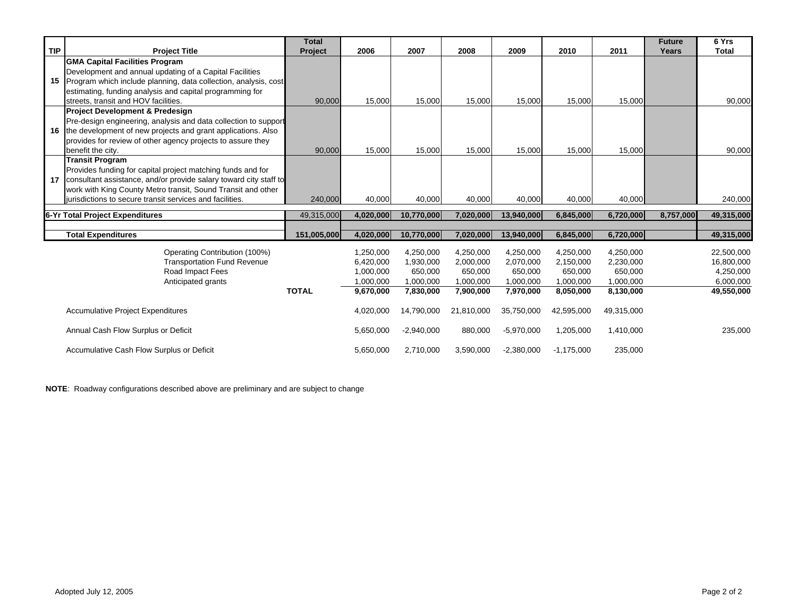|                                          |                                                                   | <b>Total</b> |           |              |            |              |              |            | <b>Future</b> | 6 Yrs        |
|------------------------------------------|-------------------------------------------------------------------|--------------|-----------|--------------|------------|--------------|--------------|------------|---------------|--------------|
| <b>TIP</b>                               | <b>Project Title</b>                                              | Project      | 2006      | 2007         | 2008       | 2009         | 2010         | 2011       | Years         | <b>Total</b> |
|                                          | <b>GMA Capital Facilities Program</b>                             |              |           |              |            |              |              |            |               |              |
|                                          | Development and annual updating of a Capital Facilities           |              |           |              |            |              |              |            |               |              |
| 15                                       | Program which include planning, data collection, analysis, cost   |              |           |              |            |              |              |            |               |              |
|                                          | estimating, funding analysis and capital programming for          |              |           |              |            |              |              |            |               |              |
|                                          | streets, transit and HOV facilities.                              | 90,000       | 15,000    | 15,000       | 15,000     | 15,000       | 15,000       | 15,000     |               | 90,000       |
|                                          | <b>Project Development &amp; Predesign</b>                        |              |           |              |            |              |              |            |               |              |
|                                          | Pre-design engineering, analysis and data collection to support   |              |           |              |            |              |              |            |               |              |
| 16                                       | the development of new projects and grant applications. Also      |              |           |              |            |              |              |            |               |              |
|                                          | provides for review of other agency projects to assure they       |              |           |              |            |              |              |            |               |              |
|                                          | benefit the city.                                                 | 90,000       | 15,000    | 15,000       | 15,000     | 15,000       | 15,000       | 15,000     |               | 90,000       |
|                                          | <b>Transit Program</b>                                            |              |           |              |            |              |              |            |               |              |
|                                          | Provides funding for capital project matching funds and for       |              |           |              |            |              |              |            |               |              |
| 17                                       | consultant assistance, and/or provide salary toward city staff to |              |           |              |            |              |              |            |               |              |
|                                          | work with King County Metro transit, Sound Transit and other      |              |           |              |            |              |              |            |               |              |
|                                          | iurisdictions to secure transit services and facilities.          | 240,000      | 40,000    | 40,000       | 40,000     | 40,000       | 40,000       | 40,000     |               | 240,000      |
| 6-Yr Total Project Expenditures          |                                                                   | 49,315,000   | 4,020,000 | 10,770,000   | 7,020,000  | 13,940,000   | 6,845,000    | 6,720,000  | 8,757,000     | 49,315,000   |
|                                          |                                                                   |              |           |              |            |              |              |            |               |              |
|                                          | <b>Total Expenditures</b>                                         | 151,005,000  | 4,020,000 | 10,770,000   | 7,020,000  | 13,940,000   | 6,845,000    | 6,720,000  |               | 49,315,000   |
|                                          | Operating Contribution (100%)                                     |              | 1,250,000 | 4,250,000    | 4,250,000  | 4,250,000    | 4,250,000    | 4,250,000  |               | 22,500,000   |
|                                          | <b>Transportation Fund Revenue</b>                                |              | 6,420,000 | 1,930,000    | 2,000,000  | 2,070,000    | 2,150,000    | 2,230,000  |               | 16,800,000   |
|                                          | Road Impact Fees                                                  |              | 1,000,000 | 650,000      | 650,000    | 650,000      | 650,000      | 650,000    |               | 4,250,000    |
|                                          | Anticipated grants                                                |              | 1,000,000 | 1,000,000    | 1,000,000  | 1,000,000    | 1,000,000    | 1,000,000  |               | 6,000,000    |
|                                          |                                                                   | <b>TOTAL</b> | 9,670,000 | 7,830,000    | 7,900,000  | 7,970,000    | 8,050,000    | 8,130,000  |               | 49,550,000   |
|                                          |                                                                   |              |           |              |            |              |              |            |               |              |
| <b>Accumulative Project Expenditures</b> |                                                                   |              | 4,020,000 | 14,790,000   | 21,810,000 | 35,750,000   | 42,595,000   | 49,315,000 |               |              |
|                                          | Annual Cash Flow Surplus or Deficit                               |              | 5,650,000 | $-2,940,000$ | 880,000    | $-5,970,000$ | 1,205,000    | 1,410,000  |               | 235,000      |
|                                          | Accumulative Cash Flow Surplus or Deficit                         |              | 5,650,000 | 2,710,000    | 3,590,000  | $-2,380,000$ | $-1,175,000$ | 235,000    |               |              |

**NOTE**: Roadway configurations described above are preliminary and are subject to change